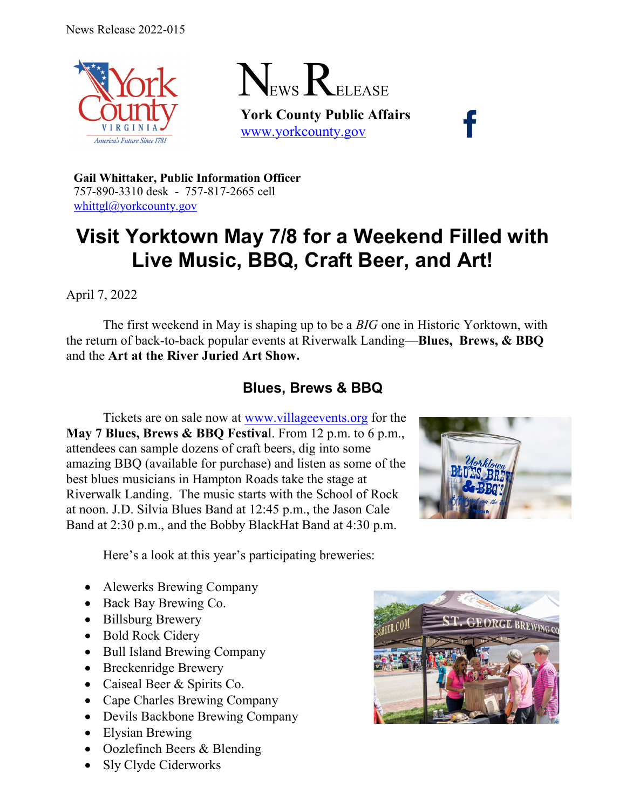



**York County Public Affairs** [www.yorkcounty.gov](http://www.yorkcounty.gov/)

**Gail Whittaker, Public Information Officer** 757-890-3310 desk - 757-817-2665 cell [whittgl@yorkcounty.gov](mailto:whittgl@yorkcounty.gov)

# **Visit Yorktown May 7/8 for a Weekend Filled with Live Music, BBQ, Craft Beer, and Art!**

April 7, 2022

The first weekend in May is shaping up to be a *BIG* one in Historic Yorktown, with the return of back-to-back popular events at Riverwalk Landing—**Blues, Brews, & BBQ** and the **Art at the River Juried Art Show.**

## **Blues, Brews & BBQ**

Tickets are on sale now at [www.villageevents.org](http://www.villageevents.org/) for the **May 7 Blues, Brews & BBQ Festiva**l. From 12 p.m. to 6 p.m., attendees can sample dozens of craft beers, dig into some amazing BBQ (available for purchase) and listen as some of the best blues musicians in Hampton Roads take the stage at Riverwalk Landing. The music starts with the School of Rock at noon. J.D. Silvia Blues Band at 12:45 p.m., the Jason Cale Band at 2:30 p.m., and the Bobby BlackHat Band at 4:30 p.m.



Here's a look at this year's participating breweries:

- Alewerks Brewing Company
- Back Bay Brewing Co.
- Billsburg Brewery
- Bold Rock Cidery
- Bull Island Brewing Company
- Breckenridge Brewery
- Caiseal Beer & Spirits Co.
- Cape Charles Brewing Company
- Devils Backbone Brewing Company
- Elysian Brewing
- Oozlefinch Beers & Blending
- Sly Clyde Ciderworks